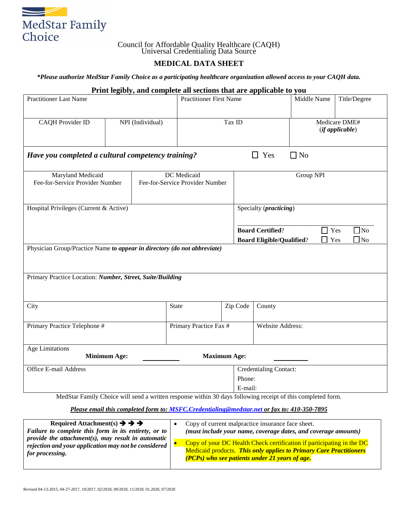

## Council for Affordable Quality Healthcare (CAQH) Universal Credentialing Data Source

## **MEDICAL DATA SHEET**

*\*Please authorize MedStar Family Choice as a participating healthcare organization allowed access to your CAQH data.*

|                                                                                      |                                | Print legibly, and complete all sections that are applicable to you |                                                |                     |                                                                                                |                                          |                                  |
|--------------------------------------------------------------------------------------|--------------------------------|---------------------------------------------------------------------|------------------------------------------------|---------------------|------------------------------------------------------------------------------------------------|------------------------------------------|----------------------------------|
| <b>Practitioner Last Name</b>                                                        | <b>Practitioner First Name</b> |                                                                     |                                                | Middle Name         | Title/Degree                                                                                   |                                          |                                  |
| <b>CAQH</b> Provider ID                                                              |                                | NPI (Individual)                                                    |                                                | Tax ID              |                                                                                                |                                          | Medicare DME#<br>(if applicable) |
| Have you completed a cultural competency training?                                   |                                |                                                                     |                                                |                     | $\Box$ Yes                                                                                     | $\Box$ No                                |                                  |
| Maryland Medicaid<br>Fee-for-Service Provider Number                                 |                                |                                                                     | DC Medicaid<br>Fee-for-Service Provider Number |                     |                                                                                                | Group NPI                                |                                  |
| Hospital Privileges (Current & Active)                                               |                                |                                                                     |                                                |                     | Specialty ( <i>practicing</i> )<br><b>Board Certified?</b><br><b>Board Eligible/Qualified?</b> | $\exists$ Yes<br>Yes                     | $\Box$ No<br>$\Box$ No           |
| Physician Group/Practice Name to appear in directory (do not abbreviate)             |                                |                                                                     |                                                |                     |                                                                                                |                                          |                                  |
| Primary Practice Location: Number, Street, Suite/Building                            |                                |                                                                     |                                                |                     |                                                                                                |                                          |                                  |
| City                                                                                 |                                |                                                                     | <b>State</b>                                   | Zip Code            | County                                                                                         |                                          |                                  |
| Primary Practice Telephone #                                                         |                                |                                                                     | Primary Practice Fax #                         |                     | Website Address:                                                                               |                                          |                                  |
| <b>Age Limitations</b>                                                               | <b>Minimum Age:</b>            |                                                                     |                                                | <b>Maximum Age:</b> |                                                                                                |                                          |                                  |
| Office E-mail Address<br>$M_{\odot}$ dCtan Equal to Chains will good a multiple uses |                                |                                                                     |                                                | Phone:<br>E-mail:   | <b>Credentialing Contact:</b>                                                                  | fallection months of this commissed from |                                  |

MedStar Family Choice will send a written response within 30 days following receipt of this completed form.

## *Please email this completed form to: [MSFC.Credentialing@medstar.net](mailto:MSFC.Credentialing@medstar.net) or fax to: 410-350-7895*

| Required Attachment(s) $\rightarrow \rightarrow \rightarrow$<br>Failure to complete this form in its entirety, or to<br>provide the attachment $(s)$ , may result in automatic | Copy of current malpractice insurance face sheet.<br>(must include your name, coverage dates, and coverage amounts)                                                                                  |
|--------------------------------------------------------------------------------------------------------------------------------------------------------------------------------|------------------------------------------------------------------------------------------------------------------------------------------------------------------------------------------------------|
| rejection and your application may not be considered<br>for processing.                                                                                                        | Copy of your DC Health Check certification if participating in the DC<br><b>Medicaid products. This only applies to Primary Care Practitioners</b><br>(PCPs) who see patients under 21 years of age. |